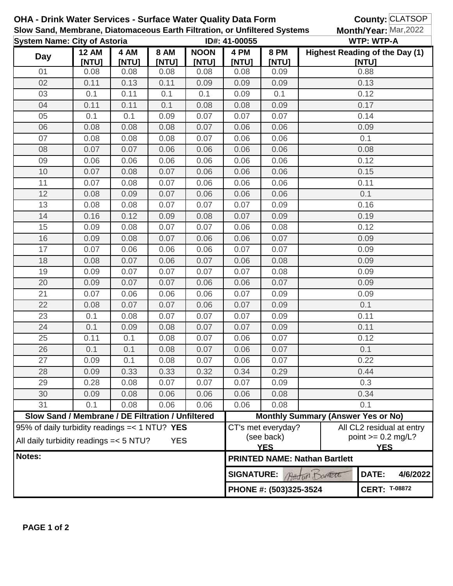| OHA - Drink Water Services - Surface Water Quality Data Form              |                                                                                                         |               |                      |                      |                        |                                                                                                     | <b>County: CLATSOP</b>                             |                       |          |  |  |
|---------------------------------------------------------------------------|---------------------------------------------------------------------------------------------------------|---------------|----------------------|----------------------|------------------------|-----------------------------------------------------------------------------------------------------|----------------------------------------------------|-----------------------|----------|--|--|
| Slow Sand, Membrane, Diatomaceous Earth Filtration, or Unfiltered Systems |                                                                                                         |               |                      |                      |                        |                                                                                                     |                                                    | Month/Year: Mar, 2022 |          |  |  |
| <b>System Name: City of Astoria</b>                                       |                                                                                                         |               |                      | ID#: 41-00055        |                        |                                                                                                     | <b>WTP: WTP-A</b>                                  |                       |          |  |  |
| <b>Day</b>                                                                | <b>12 AM</b><br>[NTU]                                                                                   | 4 AM<br>[NTU] | <b>8 AM</b><br>[NTU] | <b>NOON</b><br>[NTU] | 4 PM<br>[NTU]          | <b>8 PM</b><br>[NTU]                                                                                | <b>Highest Reading of the Day (1)</b>              | [NTU]                 |          |  |  |
| 01                                                                        | 0.08                                                                                                    | 0.08          | 0.08                 | 0.08                 | 0.08                   | 0.09                                                                                                |                                                    | 0.88                  |          |  |  |
| 02                                                                        | 0.11                                                                                                    | 0.13          | 0.11                 | 0.09                 | 0.09                   | 0.09                                                                                                |                                                    | 0.13                  |          |  |  |
| 03                                                                        | 0.1                                                                                                     | 0.11          | 0.1                  | 0.1                  | 0.09                   | 0.1                                                                                                 |                                                    | 0.12                  |          |  |  |
| 04                                                                        | 0.11                                                                                                    | 0.11          | 0.1                  | 0.08                 | 0.08                   | 0.09                                                                                                |                                                    | 0.17                  |          |  |  |
| 05                                                                        | 0.1                                                                                                     | 0.1           | 0.09                 | 0.07                 | 0.07                   | 0.07                                                                                                |                                                    | 0.14                  |          |  |  |
| 06                                                                        | 0.08                                                                                                    | 0.08          | 0.08                 | 0.07                 | 0.06                   | 0.06                                                                                                | 0.09                                               |                       |          |  |  |
| 07                                                                        | 0.08                                                                                                    | 0.08          | 0.08                 | 0.07                 | 0.06                   | 0.06                                                                                                |                                                    | 0.1                   |          |  |  |
| 08                                                                        | 0.07                                                                                                    | 0.07          | 0.06                 | 0.06                 | 0.06                   | 0.06                                                                                                |                                                    | 0.08                  |          |  |  |
| 09                                                                        | 0.06                                                                                                    | 0.06          | 0.06                 | 0.06                 | 0.06                   | 0.06                                                                                                |                                                    | 0.12                  |          |  |  |
| 10                                                                        | 0.07                                                                                                    | 0.08          | 0.07                 | 0.06                 | 0.06                   | 0.06                                                                                                |                                                    | 0.15                  |          |  |  |
| 11                                                                        | 0.07                                                                                                    | 0.08          | 0.07                 | 0.06                 | 0.06                   | 0.06                                                                                                |                                                    | 0.11                  |          |  |  |
| 12                                                                        | 0.08                                                                                                    | 0.09          | 0.07                 | 0.06                 | 0.06                   | 0.06                                                                                                |                                                    | 0.1                   |          |  |  |
| 13                                                                        | 0.08                                                                                                    | 0.08          | 0.07                 | 0.07                 | 0.07                   | 0.09                                                                                                |                                                    | 0.16                  |          |  |  |
| 14                                                                        | 0.16                                                                                                    | 0.12          | 0.09                 | 0.08                 | 0.07                   | 0.09                                                                                                |                                                    | 0.19                  |          |  |  |
| 15                                                                        | 0.09                                                                                                    | 0.08          | 0.07                 | 0.07                 | 0.06                   | 0.08                                                                                                |                                                    | 0.12                  |          |  |  |
| 16                                                                        | 0.09                                                                                                    | 0.08          | 0.07                 | 0.06                 | 0.06                   | 0.07                                                                                                |                                                    | 0.09                  |          |  |  |
| 17                                                                        | 0.07                                                                                                    | 0.06          | 0.06                 | 0.06                 | 0.07                   | 0.07                                                                                                |                                                    | 0.09                  |          |  |  |
| 18                                                                        | 0.08                                                                                                    | 0.07          | 0.06                 | 0.07                 | 0.06                   | 0.08                                                                                                |                                                    | 0.09                  |          |  |  |
| 19                                                                        | 0.09                                                                                                    | 0.07          | 0.07                 | 0.07                 | 0.07                   | 0.08                                                                                                |                                                    | 0.09                  |          |  |  |
| 20                                                                        | 0.09                                                                                                    | 0.07          | 0.07                 | 0.06                 | 0.06                   | 0.07                                                                                                | 0.09                                               |                       |          |  |  |
| 21                                                                        | 0.07                                                                                                    | 0.06          | 0.06                 | 0.06                 | 0.07                   | 0.09                                                                                                | 0.09                                               |                       |          |  |  |
| 22                                                                        | 0.08                                                                                                    | 0.07          | 0.07                 | 0.06                 | 0.07                   | 0.09                                                                                                | 0.1                                                |                       |          |  |  |
| 23                                                                        | 0.1                                                                                                     | 0.08          | 0.07                 | 0.07                 | 0.07                   | 0.09                                                                                                | 0.11                                               |                       |          |  |  |
| 24                                                                        | 0.1                                                                                                     | 0.09          | 0.08                 | 0.07                 | 0.07                   | 0.09                                                                                                | 0.11                                               |                       |          |  |  |
| 25                                                                        | 0.11                                                                                                    | 0.1           | 0.08                 | 0.07                 | 0.06                   | 0.07                                                                                                | 0.12                                               |                       |          |  |  |
| 26                                                                        | 0.1                                                                                                     | 0.1           | 0.08                 | 0.07                 | 0.06                   | 0.07                                                                                                | 0.1                                                |                       |          |  |  |
| 27                                                                        | 0.09                                                                                                    | 0.1           | 0.08                 | 0.07                 | 0.06                   | 0.07                                                                                                | 0.22                                               |                       |          |  |  |
| 28                                                                        | 0.09                                                                                                    | 0.33          | 0.33                 | 0.32                 | 0.34                   | 0.29                                                                                                | 0.44                                               |                       |          |  |  |
| 29                                                                        | 0.28                                                                                                    | 0.08          | 0.07                 | 0.07                 | 0.07                   | 0.09                                                                                                | 0.3                                                |                       |          |  |  |
| 30                                                                        | 0.09                                                                                                    | 0.08          | 0.06                 | 0.06                 | 0.06                   | 0.08                                                                                                |                                                    | 0.34                  |          |  |  |
| 31                                                                        | 0.1                                                                                                     | 0.08          | 0.06                 | 0.06                 | 0.06                   | 0.08                                                                                                | 0.1                                                |                       |          |  |  |
|                                                                           | Slow Sand / Membrane / DE Filtration / Unfiltered                                                       |               |                      |                      |                        |                                                                                                     | <b>Monthly Summary (Answer Yes or No)</b>          |                       |          |  |  |
|                                                                           | 95% of daily turbidity readings = < 1 NTU? YES<br>All daily turbidity readings = < 5 NTU?<br><b>YES</b> |               |                      |                      |                        | CT's met everyday?<br>All CL2 residual at entry<br>(see back)<br>point $>= 0.2$ mg/L?<br><b>YES</b> |                                                    |                       |          |  |  |
| Notes:                                                                    |                                                                                                         |               |                      |                      |                        |                                                                                                     | <b>YES</b><br><b>PRINTED NAME: Nathan Bartlett</b> |                       |          |  |  |
|                                                                           |                                                                                                         |               |                      |                      |                        | <b>SIGNATURE:</b><br>Austria Dometer                                                                |                                                    |                       | 4/6/2022 |  |  |
|                                                                           |                                                                                                         |               |                      |                      | PHONE #: (503)325-3524 |                                                                                                     |                                                    | <b>CERT: T-08872</b>  |          |  |  |